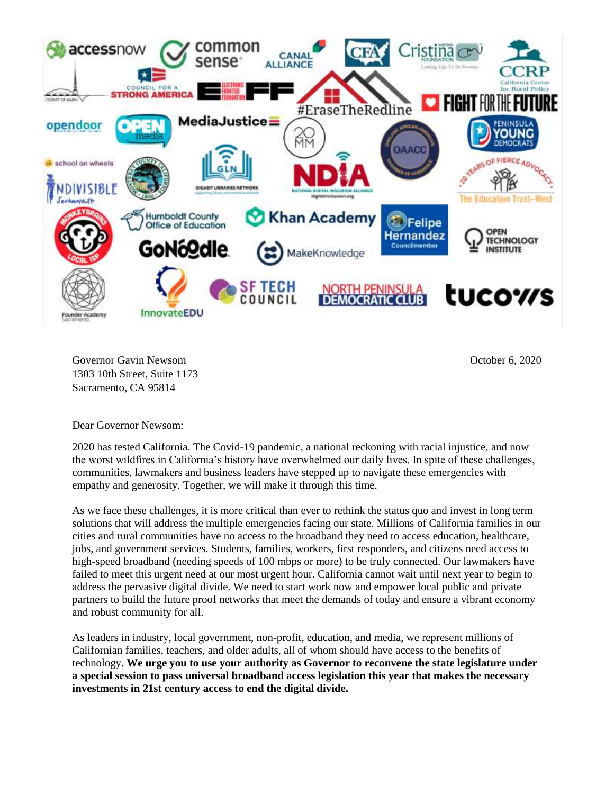

Governor Gavin Newsom 1303 10th Street, Suite 1173 Sacramento, CA 95814

October 6, 2020

Dear Governor Newsom:

2020 has tested California. The Covid-19 pandemic, a national reckoning with racial injustice, and now the worst wildfires in California's history have overwhelmed our daily lives. In spite of these challenges, communities, lawmakers and business leaders have stepped up to navigate these emergencies with empathy and generosity. Together, we will make it through this time.

As we face these challenges, it is more critical than ever to rethink the status quo and invest in long term solutions that will address the multiple emergencies facing our state. Millions of California families in our cities and rural communities have no access to the broadband they need to access education, healthcare, jobs, and government services. Students, families, workers, first responders, and citizens need access to high-speed broadband (needing speeds of 100 mbps or more) to be truly connected. Our lawmakers have failed to meet this urgent need at our most urgent hour. California cannot wait until next year to begin to address the pervasive digital divide. We need to start work now and empower local public and private partners to build the future proof networks that meet the demands of today and ensure a vibrant economy and robust community for all.

As leaders in industry, local government, non-profit, education, and media, we represent millions of Californian families, teachers, and older adults, all of whom should have access to the benefits of technology. **We urge you to use your authority as Governor to reconvene the state legislature under a special session to pass universal broadband access legislation this year that makes the necessary investments in 21st century access to end the digital divide.**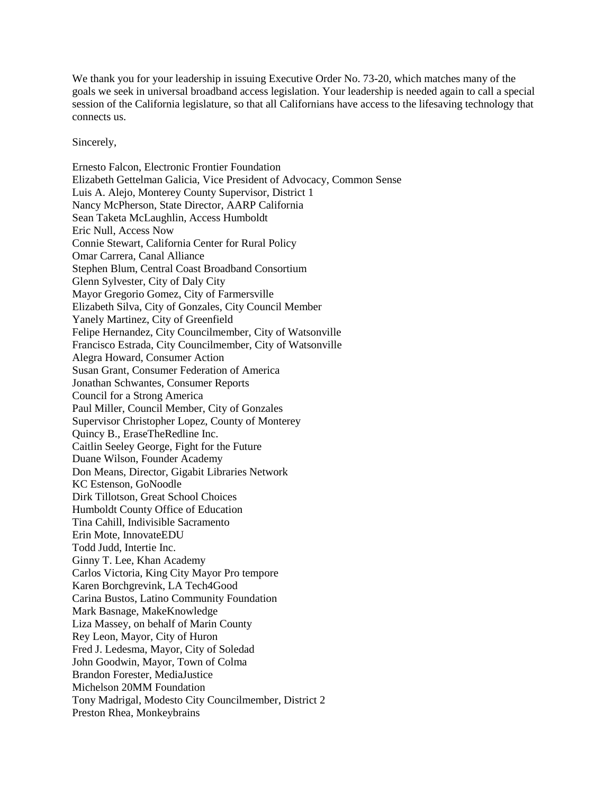We thank you for your leadership in issuing Executive Order No. 73-20, which matches many of the goals we seek in universal broadband access legislation. Your leadership is needed again to call a special session of the California legislature, so that all Californians have access to the lifesaving technology that connects us.

Sincerely,

Ernesto Falcon, Electronic Frontier Foundation Elizabeth Gettelman Galicia, Vice President of Advocacy, Common Sense Luis A. Alejo, Monterey County Supervisor, District 1 Nancy McPherson, State Director, AARP California Sean Taketa McLaughlin, Access Humboldt Eric Null, Access Now Connie Stewart, California Center for Rural Policy Omar Carrera, Canal Alliance Stephen Blum, Central Coast Broadband Consortium Glenn Sylvester, City of Daly City Mayor Gregorio Gomez, City of Farmersville Elizabeth Silva, City of Gonzales, City Council Member Yanely Martinez, City of Greenfield Felipe Hernandez, City Councilmember, City of Watsonville Francisco Estrada, City Councilmember, City of Watsonville Alegra Howard, Consumer Action Susan Grant, Consumer Federation of America Jonathan Schwantes, Consumer Reports Council for a Strong America Paul Miller, Council Member, City of Gonzales Supervisor Christopher Lopez, County of Monterey Quincy B., EraseTheRedline Inc. Caitlin Seeley George, Fight for the Future Duane Wilson, Founder Academy Don Means, Director, Gigabit Libraries Network KC Estenson, GoNoodle Dirk Tillotson, Great School Choices Humboldt County Office of Education Tina Cahill, Indivisible Sacramento Erin Mote, InnovateEDU Todd Judd, Intertie Inc. Ginny T. Lee, Khan Academy Carlos Victoria, King City Mayor Pro tempore Karen Borchgrevink, LA Tech4Good Carina Bustos, Latino Community Foundation Mark Basnage, MakeKnowledge Liza Massey, on behalf of Marin County Rey Leon, Mayor, City of Huron Fred J. Ledesma, Mayor, City of Soledad John Goodwin, Mayor, Town of Colma Brandon Forester, MediaJustice Michelson 20MM Foundation Tony Madrigal, Modesto City Councilmember, District 2 Preston Rhea, Monkeybrains